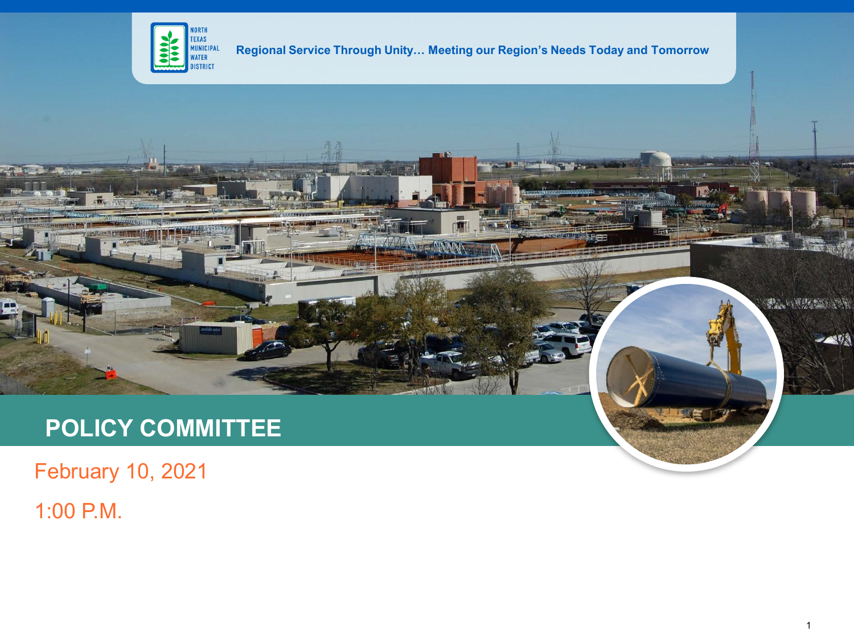

**Regional Service Through Unity… Meeting our Region's Needs Today and Tomorrow**

**TELENTAINE** 

# **POLICY COMMITTEE**

February 10, 2021

1:00 P.M.

**FALLWARE AREA** 

一个人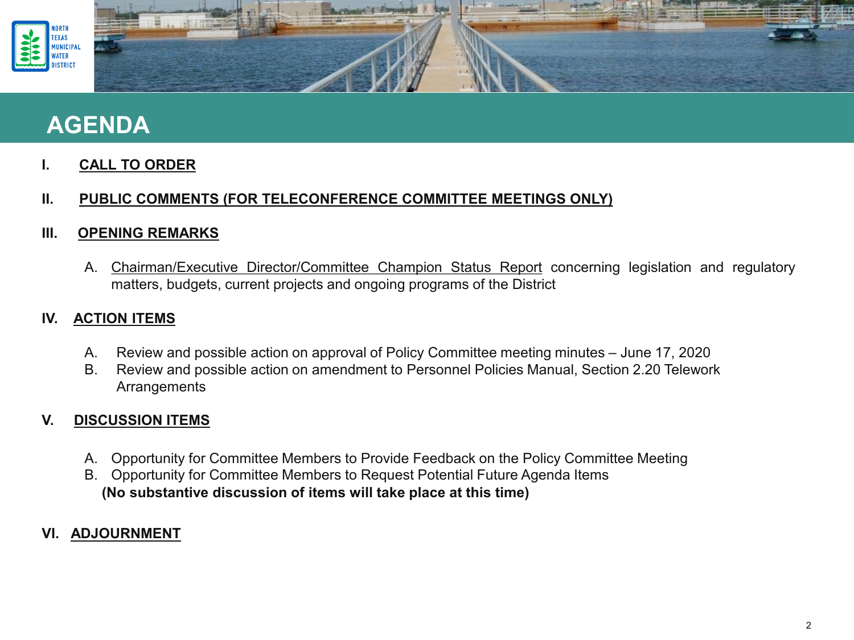

## **AGENDA**

**I. CALL TO ORDER**

### **II. PUBLIC COMMENTS (FOR TELECONFERENCE COMMITTEE MEETINGS ONLY)**

### **III. OPENING REMARKS**

A. Chairman/Executive Director/Committee Champion Status Report concerning legislation and regulatory matters, budgets, current projects and ongoing programs of the District

### **IV. ACTION ITEMS**

- A. Review and possible action on approval of Policy Committee meeting minutes June 17, 2020
- B. Review and possible action on amendment to Personnel Policies Manual, Section 2.20 Telework **Arrangements**

### **V. DISCUSSION ITEMS**

- A. Opportunity for Committee Members to Provide Feedback on the Policy Committee Meeting
- B. Opportunity for Committee Members to Request Potential Future Agenda Items **(No substantive discussion of items will take place at this time)**

### **VI. ADJOURNMENT**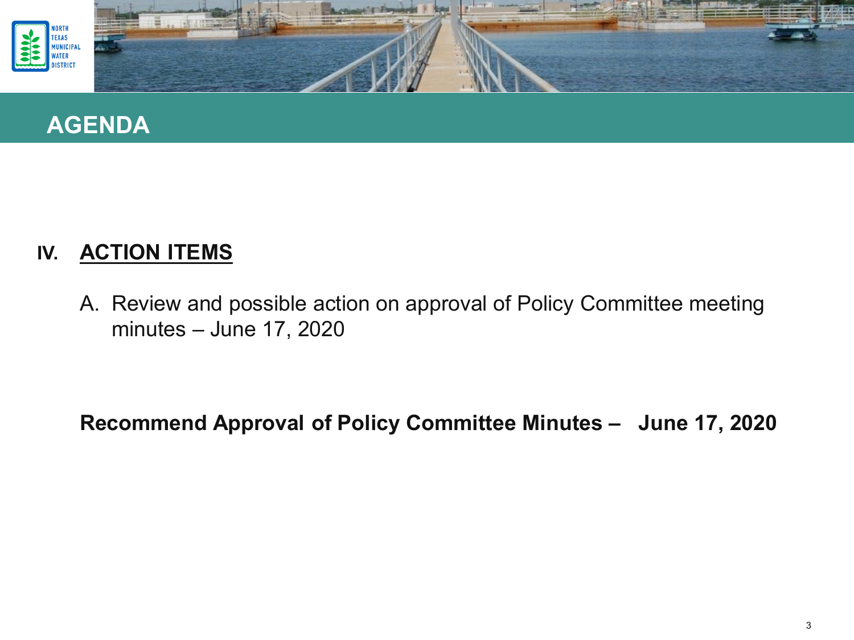



### **IV. ACTION ITEMS**

A. Review and possible action on approval of Policy Committee meeting minutes – June 17, 2020

**Recommend Approval of Policy Committee Minutes – June 17, 2020**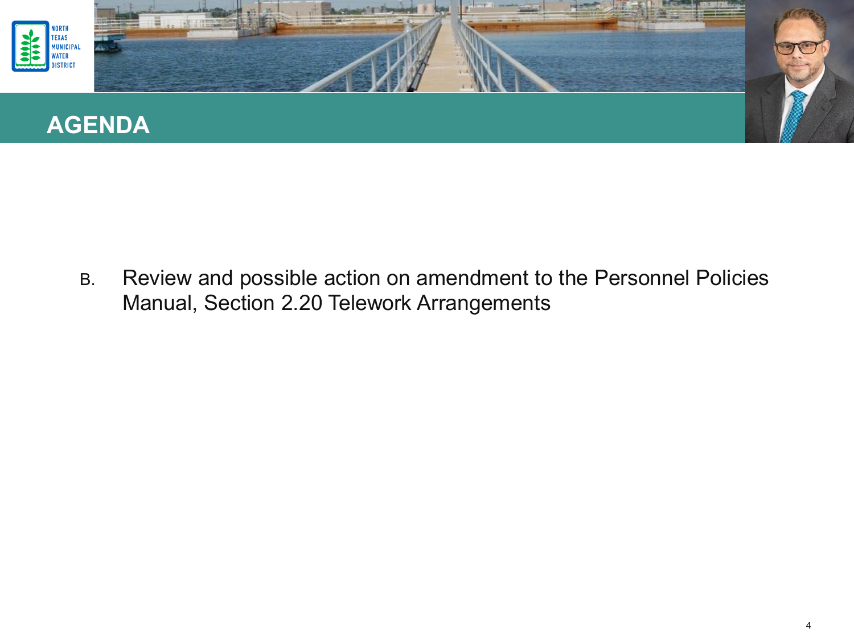

B. Review and possible action on amendment to the Personnel Policies Manual, Section 2.20 Telework Arrangements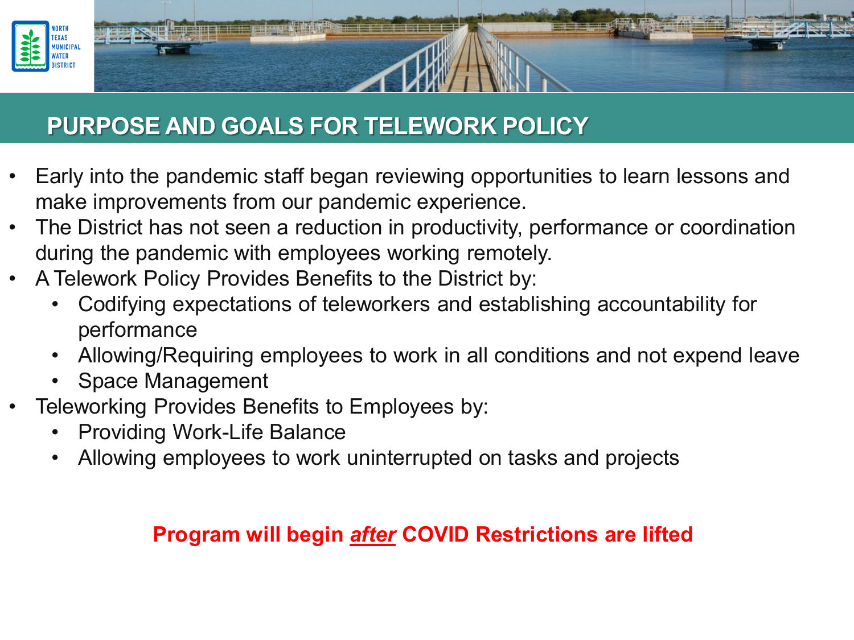

## **PURPOSE AND GOALS FOR TELEWORK POLICY**

- Early into the pandemic staff began reviewing opportunities to learn lessons and make improvements from our pandemic experience.
- The District has not seen a reduction in productivity, performance or coordination during the pandemic with employees working remotely.
- A Telework Policy Provides Benefits to the District by:
	- Codifying expectations of teleworkers and establishing accountability for performance
	- Allowing/Requiring employees to work in all conditions and not expend leave
	- Space Management
- Teleworking Provides Benefits to Employees by:
	- Providing Work-Life Balance
	- Allowing employees to work uninterrupted on tasks and projects

## **Program will begin** *after* **COVID Restrictions are lifted**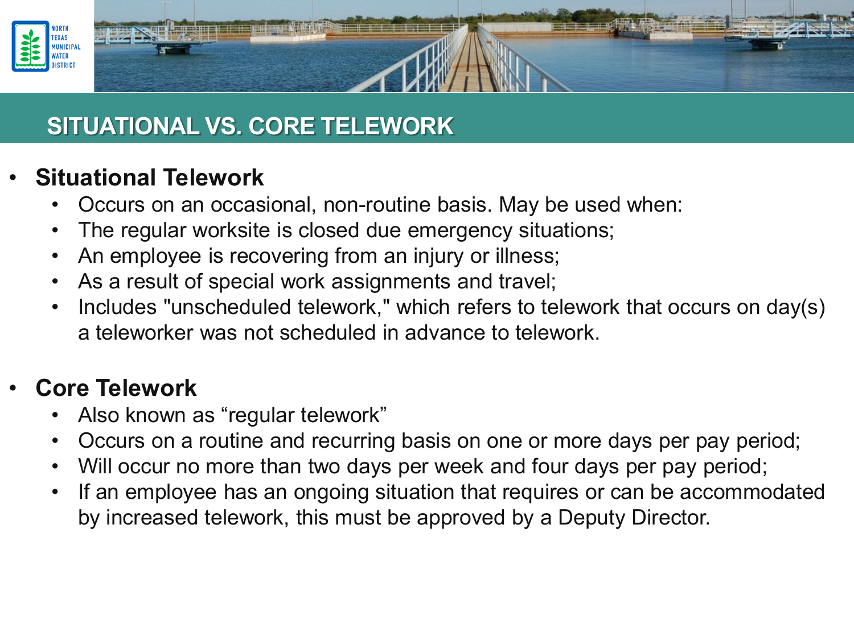

# **SITUATIONAL VS. CORE TELEWORK**

## • **Situational Telework**

- Occurs on an occasional, non-routine basis. May be used when:
- The regular worksite is closed due emergency situations;
- An employee is recovering from an injury or illness;
- As a result of special work assignments and travel;
- Includes "unscheduled telework," which refers to telework that occurs on day(s) a teleworker was not scheduled in advance to telework.

# • **Core Telework**

- Also known as "regular telework"
- Occurs on a routine and recurring basis on one or more days per pay period;
- Will occur no more than two days per week and four days per pay period;
- If an employee has an ongoing situation that requires or can be accommodated by increased telework, this must be approved by a Deputy Director.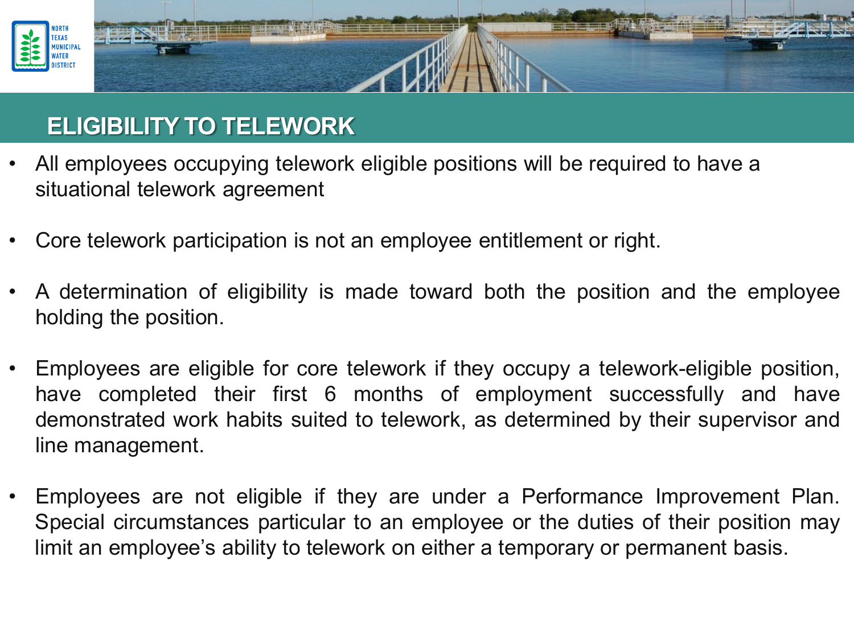

## **ELIGIBILITY TO TELEWORK**

- All employees occupying telework eligible positions will be required to have a situational telework agreement
- Core telework participation is not an employee entitlement or right.
- A determination of eligibility is made toward both the position and the employee holding the position.
- Employees are eligible for core telework if they occupy a telework-eligible position, have completed their first 6 months of employment successfully and have demonstrated work habits suited to telework, as determined by their supervisor and line management.
- Employees are not eligible if they are under a Performance Improvement Plan. Special circumstances particular to an employee or the duties of their position may limit an employee's ability to telework on either a temporary or permanent basis.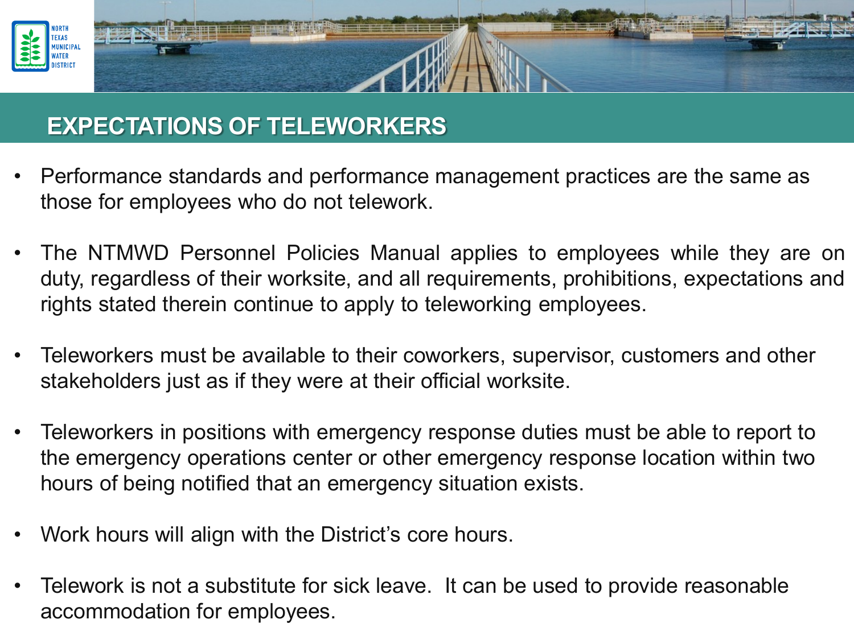

## **EXPECTATIONS OF TELEWORKERS**

- Performance standards and performance management practices are the same as those for employees who do not telework.
- The NTMWD Personnel Policies Manual applies to employees while they are on duty, regardless of their worksite, and all requirements, prohibitions, expectations and rights stated therein continue to apply to teleworking employees.
- Teleworkers must be available to their coworkers, supervisor, customers and other stakeholders just as if they were at their official worksite.
- Teleworkers in positions with emergency response duties must be able to report to the emergency operations center or other emergency response location within two hours of being notified that an emergency situation exists.
- Work hours will align with the District's core hours.
- Telework is not a substitute for sick leave. It can be used to provide reasonable accommodation for employees.